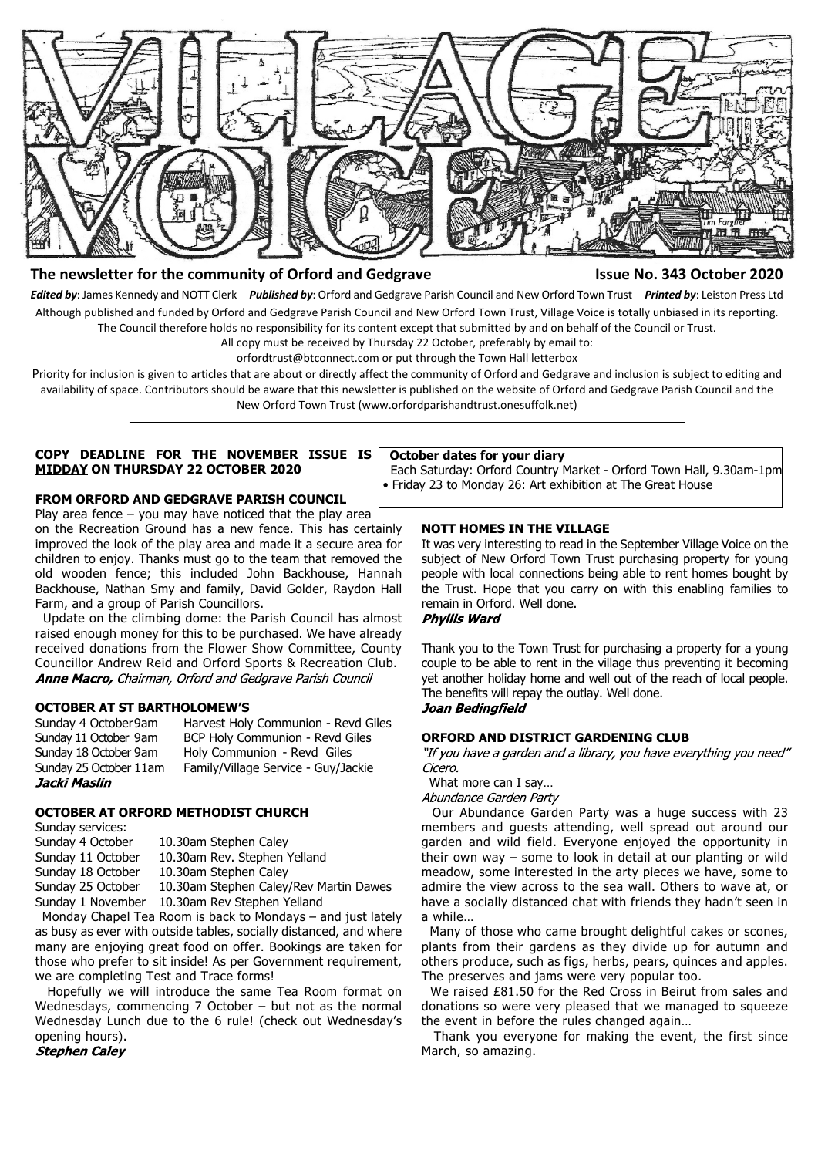

# **The newsletter for the community of Orford and Gedgrave Issue No. 343 October 2020**

*Edited by*: James Kennedy and NOTT Clerk *Published by*: Orford and Gedgrave Parish Council and New Orford Town Trust *Printed by*: Leiston Press Ltd Although published and funded by Orford and Gedgrave Parish Council and New Orford Town Trust, Village Voice is totally unbiased in its reporting. The Council therefore holds no responsibility for its content except that submitted by and on behalf of the Council or Trust.

All copy must be received by Thursday 22 October, preferably by email to:

orfordtrust@btconnect.com or put through the Town Hall letterbox

Priority for inclusion is given to articles that are about or directly affect the community of Orford and Gedgrave and inclusion is subject to editing and availability of space. Contributors should be aware that this newsletter is published on the website of Orford and Gedgrave Parish Council and the New Orford Town Trust (www.orfordparishandtrust.onesuffolk.net)

#### **COPY DEADLINE FOR THE NOVEMBER ISSUE IS MIDDAY ON THURSDAY 22 OCTOBER 2020**

#### **FROM ORFORD AND GEDGRAVE PARISH COUNCIL**

Play area fence – you may have noticed that the play area on the Recreation Ground has a new fence. This has certainly improved the look of the play area and made it a secure area for children to enjoy. Thanks must go to the team that removed the old wooden fence; this included John Backhouse, Hannah Backhouse, Nathan Smy and family, David Golder, Raydon Hall Farm, and a group of Parish Councillors.

 Update on the climbing dome: the Parish Council has almost raised enough money for this to be purchased. We have already received donations from the Flower Show Committee, County Councillor Andrew Reid and Orford Sports & Recreation Club. Anne Macro, Chairman, Orford and Gedgrave Parish Council

### **OCTOBER AT ST BARTHOLOMEW'S**

Sunday 4 October 9am Harvest Holy Communion - Revd Giles Sunday 11 October 9am BCP Holy Communion - Revd Giles Sunday 18 October 9am Holy Communion - Revd Giles Sunday 25 October 11am Family/Village Service - Guy/Jackie Jacki Maslin

## **OCTOBER AT ORFORD METHODIST CHURCH**

Sunday services:<br>Sunday 4 October 10.30am Stephen Caley Sunday 11 October 10.30am Rev. Stephen Yelland Sunday 18 October 10.30am Stephen Caley Sunday 25 October 10.30am Stephen Caley/Rev Martin Dawes Sunday 1 November 10.30am Rev Stephen Yelland

 Monday Chapel Tea Room is back to Mondays – and just lately as busy as ever with outside tables, socially distanced, and where many are enjoying great food on offer. Bookings are taken for those who prefer to sit inside! As per Government requirement, we are completing Test and Trace forms!

 Hopefully we will introduce the same Tea Room format on Wednesdays, commencing 7 October – but not as the normal Wednesday Lunch due to the 6 rule! (check out Wednesday's opening hours).

**Stephen Caley** 

#### **October dates for your diary**

 Each Saturday: Orford Country Market - Orford Town Hall, 9.30am-1pm • Friday 23 to Monday 26: Art exhibition at The Great House

### **NOTT HOMES IN THE VILLAGE**

It was very interesting to read in the September Village Voice on the subject of New Orford Town Trust purchasing property for young people with local connections being able to rent homes bought by the Trust. Hope that you carry on with this enabling families to remain in Orford. Well done.

# **Phyllis Ward**

Thank you to the Town Trust for purchasing a property for a young couple to be able to rent in the village thus preventing it becoming yet another holiday home and well out of the reach of local people. The benefits will repay the outlay. Well done. Joan Bedingfield

# **ORFORD AND DISTRICT GARDENING CLUB**

"If you have a garden and a library, you have everything you need" Cicero.

What more can I say…

Abundance Garden Party

 Our Abundance Garden Party was a huge success with 23 members and guests attending, well spread out around our garden and wild field. Everyone enjoyed the opportunity in their own way – some to look in detail at our planting or wild meadow, some interested in the arty pieces we have, some to admire the view across to the sea wall. Others to wave at, or have a socially distanced chat with friends they hadn't seen in a while…

 Many of those who came brought delightful cakes or scones, plants from their gardens as they divide up for autumn and others produce, such as figs, herbs, pears, quinces and apples. The preserves and jams were very popular too.

 We raised £81.50 for the Red Cross in Beirut from sales and donations so were very pleased that we managed to squeeze the event in before the rules changed again…

 Thank you everyone for making the event, the first since March, so amazing.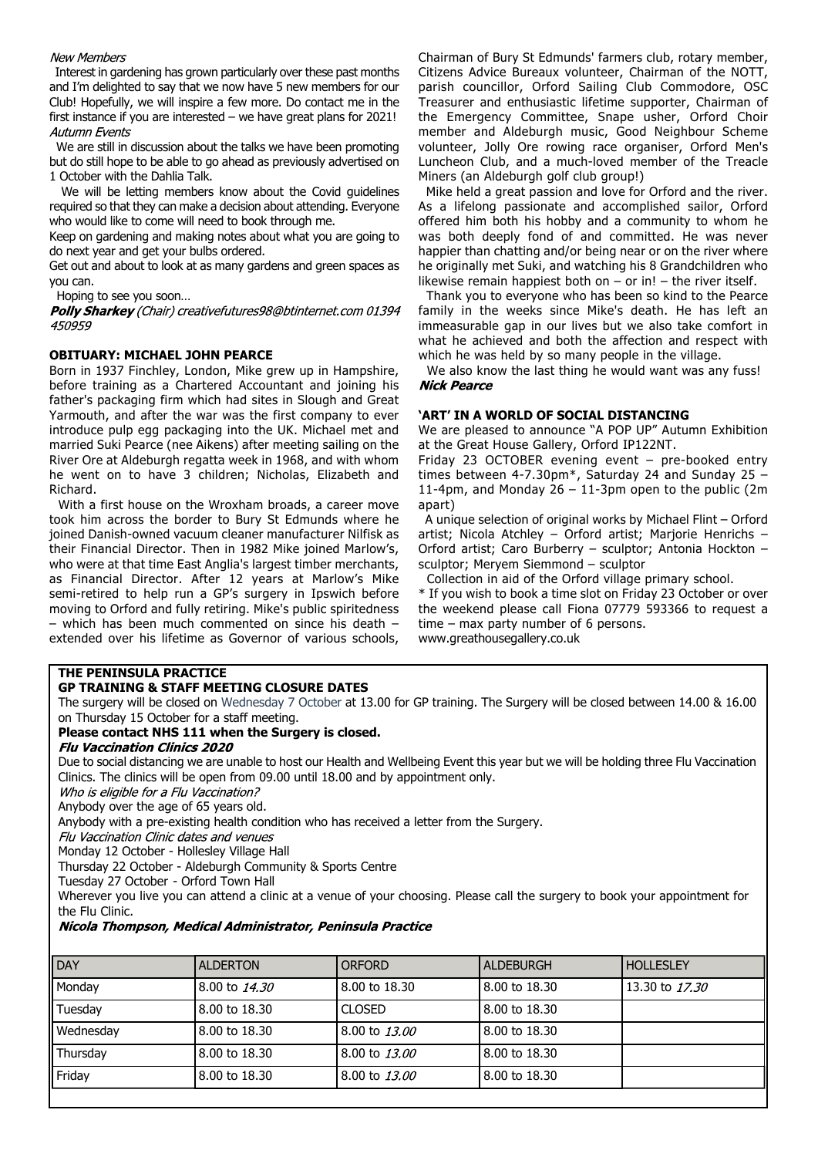# **New Members**

 Interest in gardening has grown particularly over these past months and I'm delighted to say that we now have 5 new members for our Club! Hopefully, we will inspire a few more. Do contact me in the first instance if you are interested – we have great plans for 2021! **Autumn Events** 

 We are still in discussion about the talks we have been promoting but do still hope to be able to go ahead as previously advertised on 1 October with the Dahlia Talk.

We will be letting members know about the Covid guidelines required so that they can make a decision about attending. Everyone who would like to come will need to book through me.

Keep on gardening and making notes about what you are going to do next year and get your bulbs ordered.

Get out and about to look at as many gardens and green spaces as you can.

Hoping to see you soon…

**Polly Sharkey** (Chair) creativefutures98@btinternet.com 01394 450959

# **OBITUARY: MICHAEL JOHN PEARCE**

Born in 1937 Finchley, London, Mike grew up in Hampshire, before training as a Chartered Accountant and joining his father's packaging firm which had sites in Slough and Great Yarmouth, and after the war was the first company to ever introduce pulp egg packaging into the UK. Michael met and married Suki Pearce (nee Aikens) after meeting sailing on the River Ore at Aldeburgh regatta week in 1968, and with whom he went on to have 3 children; Nicholas, Elizabeth and Richard.

 With a first house on the Wroxham broads, a career move took him across the border to Bury St Edmunds where he joined Danish-owned vacuum cleaner manufacturer Nilfisk as their Financial Director. Then in 1982 Mike joined Marlow's, who were at that time East Anglia's largest timber merchants, as Financial Director. After 12 years at Marlow's Mike semi-retired to help run a GP's surgery in Ipswich before moving to Orford and fully retiring. Mike's public spiritedness – which has been much commented on since his death – extended over his lifetime as Governor of various schools,

Chairman of Bury St Edmunds' farmers club, rotary member, Citizens Advice Bureaux volunteer, Chairman of the NOTT, parish councillor, Orford Sailing Club Commodore, OSC Treasurer and enthusiastic lifetime supporter, Chairman of the Emergency Committee, Snape usher, Orford Choir member and Aldeburgh music, Good Neighbour Scheme volunteer, Jolly Ore rowing race organiser, Orford Men's Luncheon Club, and a much-loved member of the Treacle Miners (an Aldeburgh golf club group!)

 Mike held a great passion and love for Orford and the river. As a lifelong passionate and accomplished sailor, Orford offered him both his hobby and a community to whom he was both deeply fond of and committed. He was never happier than chatting and/or being near or on the river where he originally met Suki, and watching his 8 Grandchildren who likewise remain happiest both on  $-$  or in!  $-$  the river itself.

 Thank you to everyone who has been so kind to the Pearce family in the weeks since Mike's death. He has left an immeasurable gap in our lives but we also take comfort in what he achieved and both the affection and respect with which he was held by so many people in the village.

 We also know the last thing he would want was any fuss! **Nick Pearce** 

# **'ART' IN A WORLD OF SOCIAL DISTANCING**

We are pleased to announce "A POP UP" Autumn Exhibition at the Great House Gallery, Orford IP122NT.

Friday 23 OCTOBER evening event – pre-booked entry times between 4-7.30pm\*, Saturday 24 and Sunday 25 – 11-4pm, and Monday  $26 - 11$ -3pm open to the public (2m) apart)

 A unique selection of original works by Michael Flint – Orford artist; Nicola Atchley – Orford artist; Marjorie Henrichs – Orford artist; Caro Burberry – sculptor; Antonia Hockton – sculptor; Meryem Siemmond – sculptor

Collection in aid of the Orford village primary school.

\* If you wish to book a time slot on Friday 23 October or over the weekend please call Fiona 07779 593366 to request a time – max party number of 6 persons. www.greathousegallery.co.uk

# **THE PENINSULA PRACTICE**

**GP TRAINING & STAFF MEETING CLOSURE DATES** The surgery will be closed on Wednesday 7 October at 13.00 for GP training. The Surgery will be closed between 14.00 & 16.00 on Thursday 15 October for a staff meeting.

# **Please contact NHS 111 when the Surgery is closed.**

### **Flu Vaccination Clinics 2020**

Due to social distancing we are unable to host our Health and Wellbeing Event this year but we will be holding three Flu Vaccination Clinics. The clinics will be open from 09.00 until 18.00 and by appointment only.

Who is eligible for a Flu Vaccination?

Anybody over the age of 65 years old.

Anybody with a pre-existing health condition who has received a letter from the Surgery.

Flu Vaccination Clinic dates and venues

Monday 12 October - Hollesley Village Hall

Thursday 22 October - Aldeburgh Community & Sports Centre

Tuesday 27 October - Orford Town Hall

Wherever you live you can attend a clinic at a venue of your choosing. Please call the surgery to book your appointment for the Flu Clinic.

# Nicola Thompson, Medical Administrator, Peninsula Practice

| <b>ALDERTON</b> | <b>ORFORD</b> | <b>ALDEBURGH</b> | <b>HOLLESLEY</b>                                                                  |
|-----------------|---------------|------------------|-----------------------------------------------------------------------------------|
| 8.00 to 14.30   | 8.00 to 18.30 |                  | 13.30 to 17.30                                                                    |
| 8.00 to 18.30   | <b>CLOSED</b> |                  |                                                                                   |
| 8.00 to 18.30   | 8.00 to 13.00 |                  |                                                                                   |
| 8.00 to 18.30   |               |                  |                                                                                   |
| 8.00 to 18.30   | 8.00 to 13.00 |                  |                                                                                   |
|                 |               | 8.00 to 13.00    | 8.00 to 18.30<br>8.00 to 18.30<br>8.00 to 18.30<br>8.00 to 18.30<br>8.00 to 18.30 |